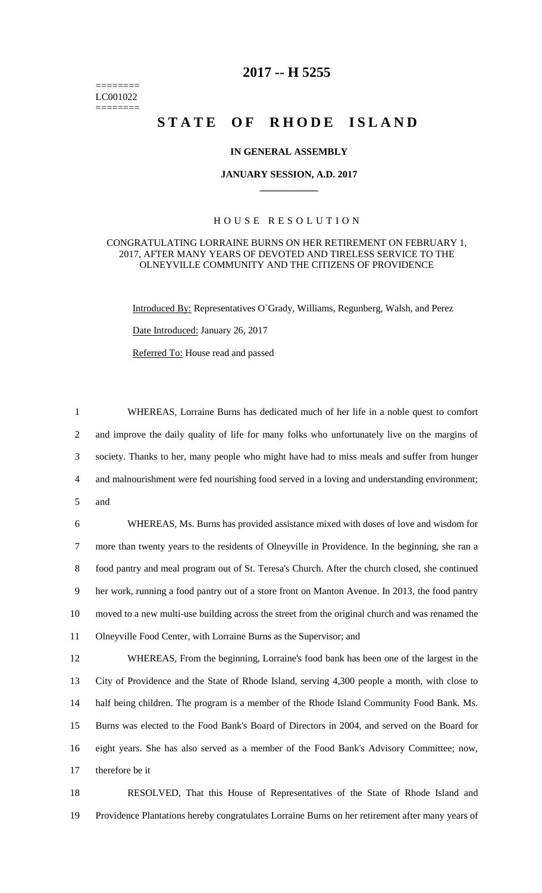======== LC001022 ========

## **2017 -- H 5255**

# **STATE OF RHODE ISLAND**

#### **IN GENERAL ASSEMBLY**

#### **JANUARY SESSION, A.D. 2017 \_\_\_\_\_\_\_\_\_\_\_\_**

### H O U S E R E S O L U T I O N

#### CONGRATULATING LORRAINE BURNS ON HER RETIREMENT ON FEBRUARY 1, 2017, AFTER MANY YEARS OF DEVOTED AND TIRELESS SERVICE TO THE OLNEYVILLE COMMUNITY AND THE CITIZENS OF PROVIDENCE

Introduced By: Representatives O`Grady, Williams, Regunberg, Walsh, and Perez

Date Introduced: January 26, 2017

Referred To: House read and passed

 WHEREAS, Lorraine Burns has dedicated much of her life in a noble quest to comfort and improve the daily quality of life for many folks who unfortunately live on the margins of society. Thanks to her, many people who might have had to miss meals and suffer from hunger and malnourishment were fed nourishing food served in a loving and understanding environment; 5 and

 WHEREAS, Ms. Burns has provided assistance mixed with doses of love and wisdom for more than twenty years to the residents of Olneyville in Providence. In the beginning, she ran a food pantry and meal program out of St. Teresa's Church. After the church closed, she continued her work, running a food pantry out of a store front on Manton Avenue. In 2013, the food pantry moved to a new multi-use building across the street from the original church and was renamed the Olneyville Food Center, with Lorraine Burns as the Supervisor; and

 WHEREAS, From the beginning, Lorraine's food bank has been one of the largest in the City of Providence and the State of Rhode Island, serving 4,300 people a month, with close to half being children. The program is a member of the Rhode Island Community Food Bank. Ms. Burns was elected to the Food Bank's Board of Directors in 2004, and served on the Board for eight years. She has also served as a member of the Food Bank's Advisory Committee; now, therefore be it

18 RESOLVED, That this House of Representatives of the State of Rhode Island and 19 Providence Plantations hereby congratulates Lorraine Burns on her retirement after many years of